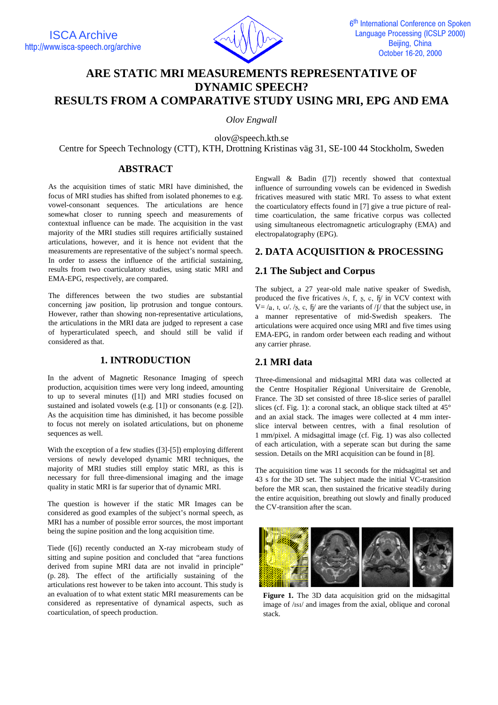

# **ARE STATIC MRI MEASUREMENTS REPRESENTATIVE OF DYNAMIC SPEECH? RESULTS FROM A COMPARATIVE STUDY USING MRI, EPG AND EMA**

*Olov Engwall*

olov@speech.kth.se

Centre for Speech Technology (CTT), KTH, Drottning Kristinas väg 31, SE-100 44 Stockholm, Sweden

### **ABSTRACT**

As the acquisition times of static MRI have diminished, the focus of MRI studies has shifted from isolated phonemes to e.g. vowel-consonant sequences. The articulations are hence somewhat closer to running speech and measurements of contextual influence can be made. The acquisition in the vast majority of the MRI studies still requires artificially sustained articulations, however, and it is hence not evident that the measurements are representative of the subject's normal speech. In order to assess the influence of the artificial sustaining, results from two coarticulatory studies, using static MRI and EMA-EPG, respectively, are compared.

The differences between the two studies are substantial concerning jaw position, lip protrusion and tongue contours. However, rather than showing non-representative articulations, the articulations in the MRI data are judged to represent a case of hyperarticulated speech, and should still be valid if considered as that.

### **1. INTRODUCTION**

In the advent of Magnetic Resonance Imaging of speech production, acquisition times were very long indeed, amounting to up to several minutes ([1]) and MRI studies focused on sustained and isolated vowels (e.g. [1]) or consonants (e.g. [2]). As the acquisition time has diminished, it has become possible to focus not merely on isolated articulations, but on phoneme sequences as well.

With the exception of a few studies ([3]-[5]) employing different versions of newly developed dynamic MRI techniques, the majority of MRI studies still employ static MRI, as this is necessary for full three-dimensional imaging and the image quality in static MRI is far superior that of dynamic MRI.

The question is however if the static MR Images can be considered as good examples of the subject's normal speech, as MRI has a number of possible error sources, the most important being the supine position and the long acquisition time.

Tiede ([6]) recently conducted an X-ray microbeam study of sitting and supine position and concluded that "area functions derived from supine MRI data are not invalid in principle" (p. 28). The effect of the artificially sustaining of the articulations rest however to be taken into account. This study is an evaluation of to what extent static MRI measurements can be considered as representative of dynamical aspects, such as coarticulation, of speech production.

Engwall & Badin ([7]) recently showed that contextual influence of surrounding vowels can be evidenced in Swedish fricatives measured with static MRI. To assess to what extent the coarticulatory effects found in [7] give a true picture of realtime coarticulation, the same fricative corpus was collected using simultaneous electromagnetic articulography (EMA) and electropalatography (EPG).

# **2. DATA ACQUISITION & PROCESSING**

# **2.1 The Subject and Corpus**

The subject, a 27 year-old male native speaker of Swedish, produced the five fricatives /s, f, s, c,  $f_1$  in VCV context with  $V = /a$ , i,  $v//\sqrt{g}$ , c, fi are the variants of / f that the subject use, in a manner representative of mid-Swedish speakers. The articulations were acquired once using MRI and five times using EMA-EPG, in random order between each reading and without any carrier phrase.

# **2.1 MRI data**

Three-dimensional and midsagittal MRI data was collected at the Centre Hospitalier Régional Universitaire de Grenoble, France. The 3D set consisted of three 18-slice series of parallel slices (cf. Fig. 1): a coronal stack, an oblique stack tilted at 45° and an axial stack. The images were collected at 4 mm interslice interval between centres, with a final resolution of 1 mm/pixel. A midsagittal image (cf. Fig. 1) was also collected of each articulation, with a seperate scan but during the same session. Details on the MRI acquisition can be found in [8].

The acquisition time was 11 seconds for the midsagittal set and 43 s for the 3D set. The subject made the initial VC-transition before the MR scan, then sustained the fricative steadily during the entire acquisition, breathing out slowly and finally produced the CV-transition after the scan.



Figure 1. The 3D data acquisition grid on the midsagittal image of /IsI/ and images from the axial, oblique and coronal stack.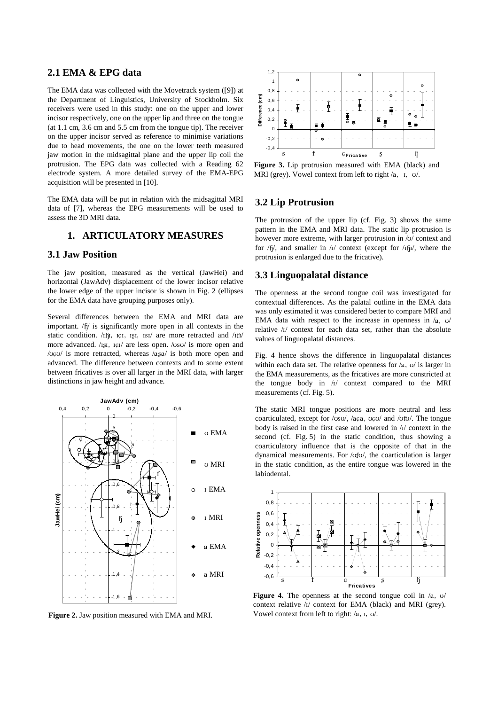### **2.1 EMA & EPG data**

The EMA data was collected with the Movetrack system ([9]) at the Department of Linguistics, University of Stockholm. Six receivers were used in this study: one on the upper and lower incisor respectively, one on the upper lip and three on the tongue (at 1.1 cm, 3.6 cm and 5.5 cm from the tongue tip). The receiver on the upper incisor served as reference to minimise variations due to head movements, the one on the lower teeth measured jaw motion in the midsagittal plane and the upper lip coil the protrusion. The EPG data was collected with a Reading 62 electrode system. A more detailed survey of the EMA-EPG acquisition will be presented in [10].

The EMA data will be put in relation with the midsagittal MRI data of [7], whereas the EPG measurements will be used to assess the 3D MRI data.

### **1. ARTICULATORY MEASURES**

#### **3.1 Jaw Position**

The jaw position, measured as the vertical (JawHei) and horizontal (JawAdv) displacement of the lower incisor relative the lower edge of the upper incisor is shown in Fig. 2 (ellipses for the EMA data have grouping purposes only).

Several differences between the EMA and MRI data are important. /fj/ is significantly more open in all contexts in the static condition. /ifji, ici, isi, isi/ are more retracted and /ifi/ more advanced.  $/_{ISI}$ ,  $_{IGI}$  are less open.  $/_{USI}$  is more open and / $\mu$ c $\mu$  is more retracted, whereas /asa/ is both more open and advanced. The difference between contexts and to some extent between fricatives is over all larger in the MRI data, with larger distinctions in jaw height and advance.



**Figure 2.** Jaw position measured with EMA and MRI.



**Figure 3.** Lip protrusion measured with EMA (black) and MRI (grey). Vowel context from left to right  $/a$ ,  $I, U$ .

#### **3.2 Lip Protrusion**

The protrusion of the upper lip (cf. Fig. 3) shows the same pattern in the EMA and MRI data. The static lip protrusion is however more extreme, with larger protrusion in  $\sqrt{v}$  context and for  $/fi/$ , and smaller in  $/I/$  context (except for  $/IfJI/$ , where the protrusion is enlarged due to the fricative).

#### **3.3 Linguopalatal distance**

The openness at the second tongue coil was investigated for contextual differences. As the palatal outline in the EMA data was only estimated it was considered better to compare MRI and EMA data with respect to the increase in openness in  $/a$ ,  $\sigma$ relative /1/ context for each data set, rather than the absolute values of linguopalatal distances.

Fig. 4 hence shows the difference in linguopalatal distances within each data set. The relative openness for  $/a$ ,  $\sigma$  is larger in the EMA measurements, as the fricatives are more constricted at the tongue body in  $\sqrt{I}$  context compared to the MRI measurements (cf. Fig. 5).

The static MRI tongue positions are more neutral and less coarticulated, except for /vsv/, /aca, vcv/ and /vfv/. The tongue body is raised in the first case and lowered in  $\pi$  context in the second (cf. Fig. 5) in the static condition, thus showing a coarticulatory influence that is the opposite of that in the dynamical measurements. For /vfv/, the coarticulation is larger in the static condition, as the entire tongue was lowered in the labiodental.



**Figure 4.** The openness at the second tongue coil in  $/a$ ,  $\upsilon$ context relative / $I$ / context for EMA (black) and MRI (grey). Vowel context from left to right:  $/a$ ,  $x, y$ .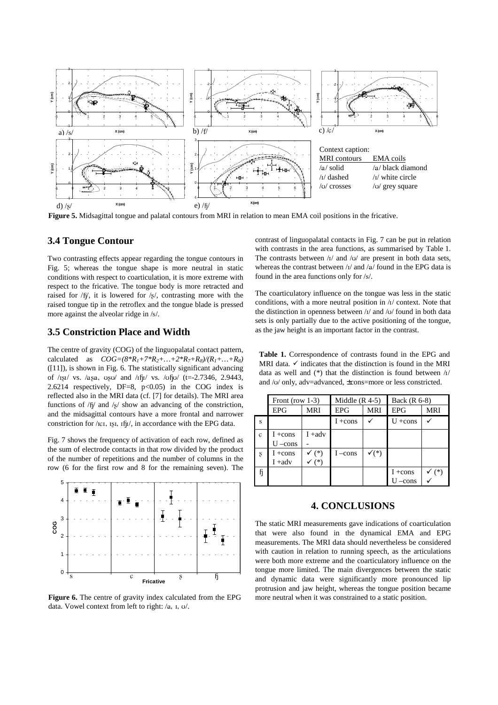

**Figure 5.** Midsagittal tongue and palatal contours from MRI in relation to mean EMA coil positions in the fricative.

#### **3.4 Tongue Contour**

Two contrasting effects appear regarding the tongue contours in Fig. 5; whereas the tongue shape is more neutral in static conditions with respect to coarticulation, it is more extreme with respect to the fricative. The tongue body is more retracted and raised for  $/6/$ , it is lowered for  $/8/$ , contrasting more with the raised tongue tip in the retroflex and the tongue blade is pressed more against the alveolar ridge in /s/.

#### **3.5 Constriction Place and Width**

The centre of gravity (COG) of the linguopalatal contact pattern, calculated as  $COG = (8^*R_I + 7^*R_2 + ... + 2^*R_7 + R_8)/(R_I + ... + R_8)$  $([11])$ , is shown in Fig. 6. The statistically significant advancing of / $1 \text{g}$ I/ vs. / $a \text{g}$ a,  $u \text{g}$ U/ and / $1 \text{f}$ I/ vs. / $u \text{f}$ U/ (t=-2.7346, 2.9443, 2.6214 respectively, DF=8, p<0.05) in the COG index is reflected also in the MRI data (cf. [7] for details). The MRI area functions of  $/6/$  and  $/8/$  show an advancing of the constriction, and the midsagittal contours have a more frontal and narrower constriction for / ICI, ISI, Ifil, in accordance with the EPG data.

Fig. 7 shows the frequency of activation of each row, defined as the sum of electrode contacts in that row divided by the product of the number of repetitions and the number of columns in the row (6 for the first row and 8 for the remaining seven). The



**Figure 6.** The centre of gravity index calculated from the EPG data. Vowel context from left to right: /a, I, U/.

contrast of linguopalatal contacts in Fig. 7 can be put in relation with contrasts in the area functions, as summarised by Table 1. The contrasts between  $\frac{1}{4}$  and  $\frac{1}{4}$  are present in both data sets, whereas the contrast between  $\frac{1}{4}$  and  $\frac{1}{4}$  found in the EPG data is found in the area functions only for /s/.

The coarticulatory influence on the tongue was less in the static conditions, with a more neutral position in  $\lambda$  context. Note that the distinction in openness between  $/1/$  and  $/1/$  found in both data sets is only partially due to the active positioning of the tongue, as the jaw height is an important factor in the contrast.

**Table 1.** Correspondence of contrasts found in the EPG and MRI data.  $\checkmark$  indicates that the distinction is found in the MRI data as well and  $(*)$  that the distinction is found between  $\frac{1}{4}$ and / $U$  only, adv=advanced, ±cons=more or less constricted.

|                         | Front (row $1-3$ ) |            | Middle $(R$ 4-5) |                  | Back $(R 6-8)$ |            |
|-------------------------|--------------------|------------|------------------|------------------|----------------|------------|
|                         | <b>EPG</b>         | <b>MRI</b> | <b>EPG</b>       | <b>MRI</b>       | <b>EPG</b>     | <b>MRI</b> |
| $\overline{\mathbf{s}}$ |                    |            | $I + cons$       |                  | $U + const$    |            |
| $\overline{C}$          | $I + cons$         | $I + adv$  |                  |                  |                |            |
|                         | $U$ –cons          |            |                  |                  |                |            |
| $\mathbf{s}$            | $I + cons$         | $(*)$      | $I$ –cons        | $\checkmark$ (*) |                |            |
|                         | $I + adv$          | (*)        |                  |                  |                |            |
| h                       |                    |            |                  |                  | $I + cons$     | $(*)$      |
|                         |                    |            |                  |                  | -cons          |            |

#### **4. CONCLUSIONS**

The static MRI measurements gave indications of coarticulation that were also found in the dynamical EMA and EPG measurements. The MRI data should nevertheless be considered with caution in relation to running speech, as the articulations were both more extreme and the coarticulatory influence on the tongue more limited. The main divergences between the static and dynamic data were significantly more pronounced lip protrusion and jaw height, whereas the tongue position became more neutral when it was constrained to a static position.